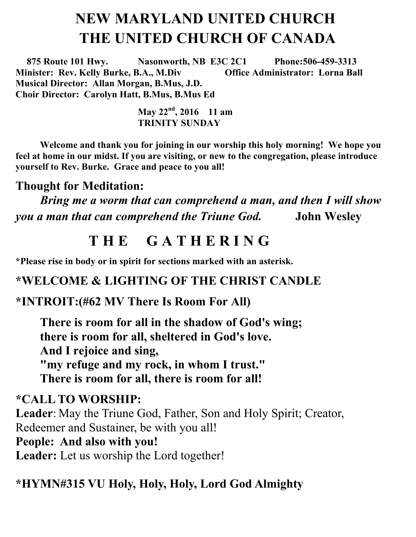# **NEW MARYLAND UNITED CHURCH THE UNITED CHURCH OF CANADA**

 **875 Route 101 Hwy. Nasonworth, NB E3C 2C1 Phone:506-459-3313 Minister: Rev. Kelly Burke, B.A., M.Div Office Administrator: Lorna Ball Musical Director: Allan Morgan, B.Mus, J.D. Choir Director: Carolyn Hatt, B.Mus, B.Mus Ed** 

 **May 22nd , 2016 11 am TRINITY SUNDAY**

**Welcome and thank you for joining in our worship this holy morning! We hope you feel at home in our midst. If you are visiting, or new to the congregation, please introduce yourself to Rev. Burke. Grace and peace to you all!**

#### **Thought for Meditation:**

*Bring me a worm that can comprehend a man, and then I will show you a man that can comprehend the Triune God.* **John Wesley**

## **T H E G A T H E R I N G**

**\*Please rise in body or in spirit for sections marked with an asterisk.**

#### **\*WELCOME & LIGHTING OF THE CHRIST CANDLE**

#### **\*INTROIT:(#62 MV There Is Room For All)**

**There is room for all in the shadow of God's wing; there is room for all, sheltered in God's love. And I rejoice and sing, "my refuge and my rock, in whom I trust." There is room for all, there is room for all!**

**\*CALL TO WORSHIP: Leader**: May the Triune God, Father, Son and Holy Spirit; Creator, Redeemer and Sustainer, be with you all! **People: And also with you! Leader:** Let us worship the Lord together!

#### **\*HYMN#315 VU Holy, Holy, Holy, Lord God Almighty**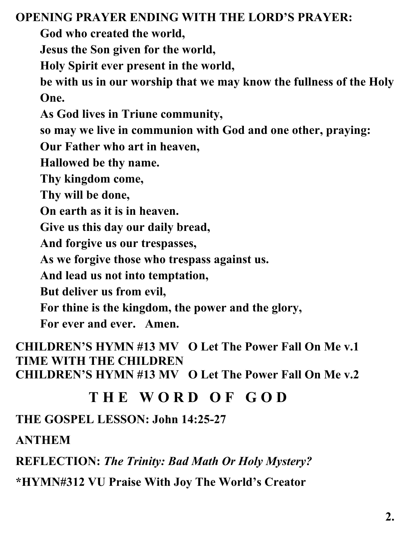#### **OPENING PRAYER ENDING WITH THE LORD'S PRAYER:**

**God who created the world,**

**Jesus the Son given for the world,**

**Holy Spirit ever present in the world,**

**be with us in our worship that we may know the fullness of the Holy One.**

**As God lives in Triune community,**

**so may we live in communion with God and one other, praying:** 

**Our Father who art in heaven,** 

**Hallowed be thy name.** 

**Thy kingdom come,** 

**Thy will be done,** 

**On earth as it is in heaven.** 

**Give us this day our daily bread,** 

**And forgive us our trespasses,** 

**As we forgive those who trespass against us.** 

**And lead us not into temptation,** 

**But deliver us from evil,** 

**For thine is the kingdom, the power and the glory,** 

**For ever and ever. Amen.**

**CHILDREN'S HYMN #13 MV O Let The Power Fall On Me v.1 TIME WITH THE CHILDREN CHILDREN'S HYMN #13 MV O Let The Power Fall On Me v.2**

## **T H E W O R D O F G O D**

**THE GOSPEL LESSON: John 14:25-27**

**ANTHEM**

**REFLECTION:** *The Trinity: Bad Math Or Holy Mystery?*

**\*HYMN#312 VU Praise With Joy The World's Creator**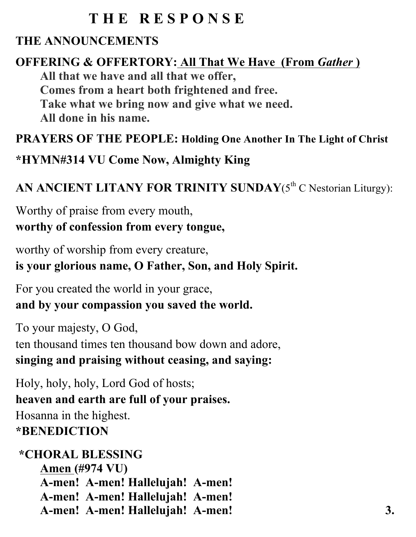# **T H E R E S P O N S E**

## **THE ANNOUNCEMENTS**

#### **OFFERING & OFFERTORY: All That We Have (From** *Gather***) All that we have and all that we offer, Comes from a heart both frightened and free. Take what we bring now and give what we need. All done in his name.**

#### **PRAYERS OF THE PEOPLE: Holding One Another In The Light of Christ**

### **\*HYMN#314 VU Come Now, Almighty King**

## AN ANCIENT LITANY FOR TRINITY SUNDAY(5<sup>th</sup> C Nestorian Liturgy):

Worthy of praise from every mouth, **worthy of confession from every tongue,**

worthy of worship from every creature, **is your glorious name, O Father, Son, and Holy Spirit.**

For you created the world in your grace, **and by your compassion you saved the world.**

To your majesty, O God, ten thousand times ten thousand bow down and adore, **singing and praising without ceasing, and saying:**

Holy, holy, holy, Lord God of hosts; **heaven and earth are full of your praises.** Hosanna in the highest. **\*BENEDICTION**

#### **\*CHORAL BLESSING Amen (#974 VU) A-men! A-men! Hallelujah! A-men! A-men! A-men! Hallelujah! A-men! A-men! A-men! Hallelujah! A-men! 3.**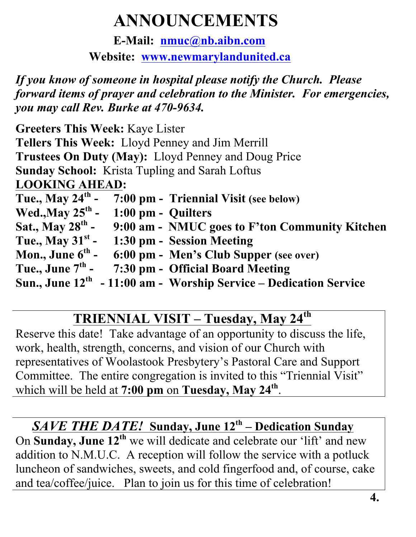# **ANNOUNCEMENTS**

**E-Mail: nmuc@nb.aibn.com Website: www.newmarylandunited.ca**

*If you know of someone in hospital please notify the Church. Please forward items of prayer and celebration to the Minister. For emergencies, you may call Rev. Burke at 470-9634.*

| <b>Greeters This Week: Kaye Lister</b>                                  |
|-------------------------------------------------------------------------|
| Tellers This Week: Lloyd Penney and Jim Merrill                         |
| Trustees On Duty (May): Lloyd Penney and Doug Price                     |
| <b>Sunday School:</b> Krista Tupling and Sarah Loftus                   |
| <b>LOOKING AHEAD:</b>                                                   |
| Tue., May $24th$ - 7:00 pm - Triennial Visit (see below)                |
| Wed., May $25th$ - 1:00 pm - Quilters                                   |
| Sat., May $28^{th}$ -<br>9:00 am - NMUC goes to F'ton Community Kitchen |
| Tue., May $31^{st}$ -<br>1:30 pm - Session Meeting                      |
| Mon., June $6^{\text{th}}$ -<br>6:00 pm - Men's Club Supper (see over)  |
| Tue., June $7th$ -<br>7:30 pm - Official Board Meeting                  |
| Sun., June $12th - 11:00$ am - Worship Service – Dedication Service     |

# **TRIENNIAL VISIT – Tuesday, May 24th**

Reserve this date! Take advantage of an opportunity to discuss the life, work, health, strength, concerns, and vision of our Church with representatives of Woolastook Presbytery's Pastoral Care and Support Committee. The entire congregation is invited to this "Triennial Visit" which will be held at **7:00 pm** on **Tuesday, May 24th**.

## *SAVE THE DATE!* **Sunday, June 12th – Dedication Sunday**

On **Sunday, June 12th** we will dedicate and celebrate our 'lift' and new addition to N.M.U.C. A reception will follow the service with a potluck luncheon of sandwiches, sweets, and cold fingerfood and, of course, cake and tea/coffee/juice. Plan to join us for this time of celebration!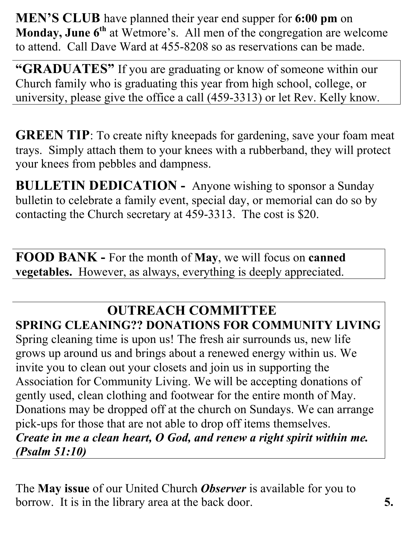**MEN'S CLUB** have planned their year end supper for **6:00 pm** on **Monday, June 6<sup>th</sup> at Wetmore's. All men of the congregation are welcome** to attend. Call Dave Ward at 455-8208 so as reservations can be made.

**"GRADUATES"** If you are graduating or know of someone within our Church family who is graduating this year from high school, college, or university, please give the office a call (459-3313) or let Rev. Kelly know.

**GREEN TIP**: To create nifty kneepads for gardening, save your foam meat trays. Simply attach them to your knees with a rubberband, they will protect your knees from pebbles and dampness.

**BULLETIN DEDICATION -** Anyone wishing to sponsor a Sunday bulletin to celebrate a family event, special day, or memorial can do so by contacting the Church secretary at 459-3313. The cost is \$20.

**FOOD BANK -** For the month of **May**, we will focus on **canned vegetables.** However, as always, everything is deeply appreciated.

# **OUTREACH COMMITTEE**

**SPRING CLEANING?? DONATIONS FOR COMMUNITY LIVING** Spring cleaning time is upon us! The fresh air surrounds us, new life grows up around us and brings about a renewed energy within us. We invite you to clean out your closets and join us in supporting the Association for Community Living. We will be accepting donations of gently used, clean clothing and footwear for the entire month of May. Donations may be dropped off at the church on Sundays. We can arrange pick-ups for those that are not able to drop off items themselves. *Create in me a clean heart, O God, and renew a right spirit within me. (Psalm 51:10)*

The **May issue** of our United Church *Observer* is available for you to borrow. It is in the library area at the back door. **5.**